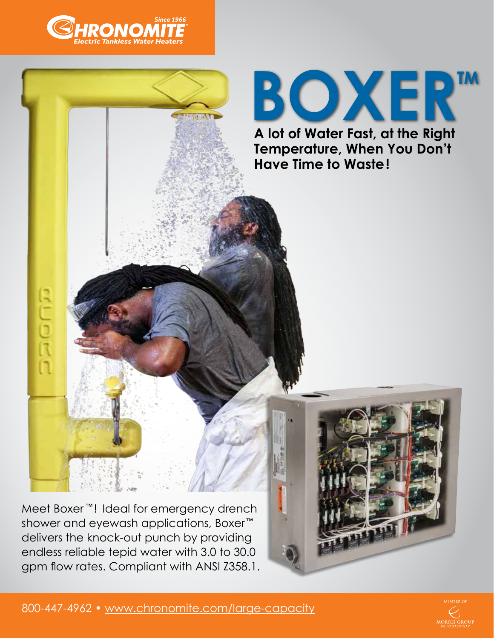

REDR



Meet Boxer<sup>™</sup>! Ideal for emergency drench shower and eyewash applications, Boxer ™ delivers the knock-out punch by providing endless reliable tepid water with 3.0 to 30.0 gpm flow rates. Compliant with ANSI Z358.1.